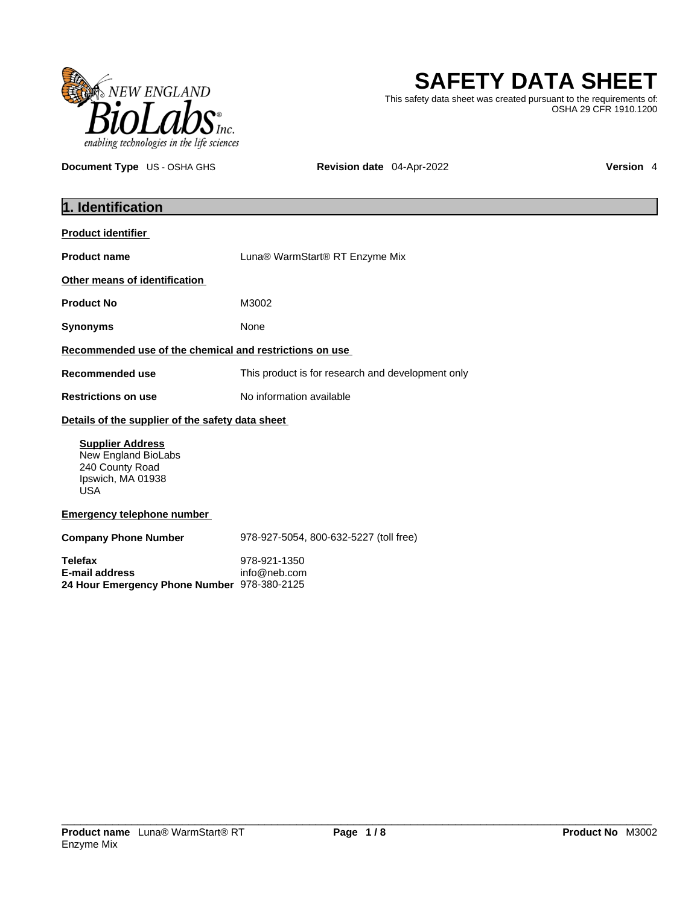

**SAFETY DATA SHEET**

This safety data sheet was created pursuant to the requirements of: OSHA 29 CFR 1910.1200

**Document Type** US - OSHA GHS **Revision date** 04-Apr-2022 **Version 4** 

| 1. Identification                                                                                    |                                                   |  |
|------------------------------------------------------------------------------------------------------|---------------------------------------------------|--|
| <b>Product identifier</b>                                                                            |                                                   |  |
| <b>Product name</b>                                                                                  | Luna® WarmStart® RT Enzyme Mix                    |  |
| Other means of identification                                                                        |                                                   |  |
| <b>Product No</b>                                                                                    | M3002                                             |  |
| <b>Synonyms</b>                                                                                      | None                                              |  |
| Recommended use of the chemical and restrictions on use                                              |                                                   |  |
| <b>Recommended use</b>                                                                               | This product is for research and development only |  |
| <b>Restrictions on use</b>                                                                           | No information available                          |  |
| Details of the supplier of the safety data sheet                                                     |                                                   |  |
| <b>Supplier Address</b><br>New England BioLabs<br>240 County Road<br>Ipswich, MA 01938<br><b>USA</b> |                                                   |  |
| <b>Emergency telephone number</b>                                                                    |                                                   |  |
| <b>Company Phone Number</b>                                                                          | 978-927-5054, 800-632-5227 (toll free)            |  |
| <b>Telefax</b><br><b>E-mail address</b><br>24 Hour Emergency Phone Number 978-380-2125               | 978-921-1350<br>info@neb.com                      |  |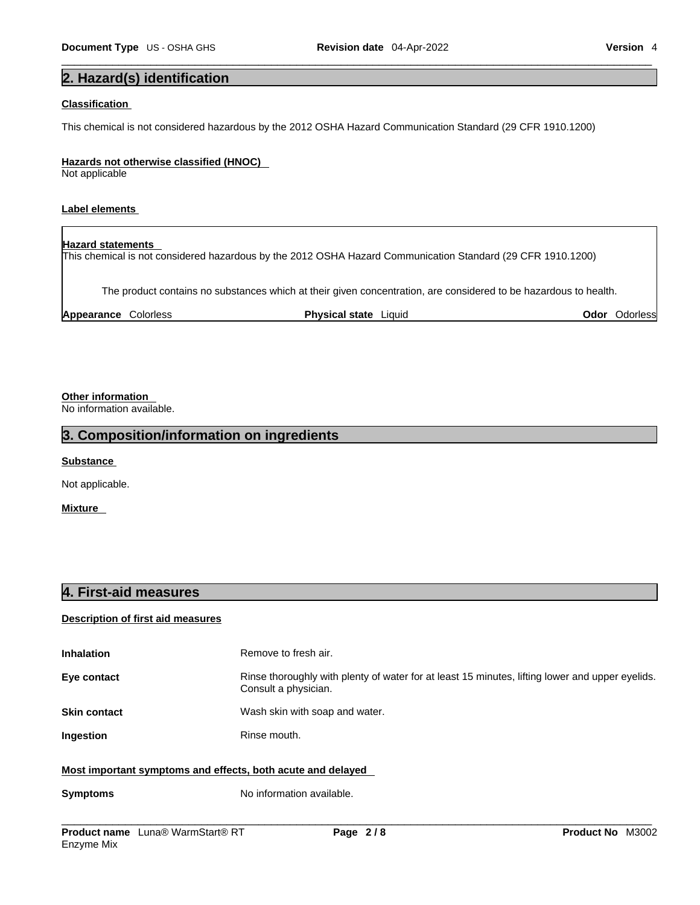## **2. Hazard(s) identification**

### **Classification**

This chemical is not considered hazardous by the 2012 OSHA Hazard Communication Standard (29 CFR 1910.1200)

#### **Hazards not otherwise classified (HNOC)**

Not applicable

### **Label elements**

**Hazard statements**  This chemical is not considered hazardous by the 2012 OSHA Hazard Communication Standard (29 CFR 1910.1200)

The product contains no substances which at their given concentration, are considered to be hazardous to health.

| <b>Physical state</b><br>Appearance<br>Odor<br>Liauid<br>Colorless<br>Jdorlessi |  |
|---------------------------------------------------------------------------------|--|
|---------------------------------------------------------------------------------|--|

### **Other information**

No information available.

### **3. Composition/information on ingredients**

**Substance** 

Not applicable.

**Mixture** 

### **4. First-aid measures**

### **Description of first aid measures**

| <b>Inhalation</b>                                           | Remove to fresh air.                                                                                                    |  |
|-------------------------------------------------------------|-------------------------------------------------------------------------------------------------------------------------|--|
| Eye contact                                                 | Rinse thoroughly with plenty of water for at least 15 minutes, lifting lower and upper eyelids.<br>Consult a physician. |  |
| <b>Skin contact</b>                                         | Wash skin with soap and water.                                                                                          |  |
| <b>Ingestion</b>                                            | Rinse mouth.                                                                                                            |  |
| Most important symptoms and effects, both acute and delayed |                                                                                                                         |  |

### **Symptoms** No information available.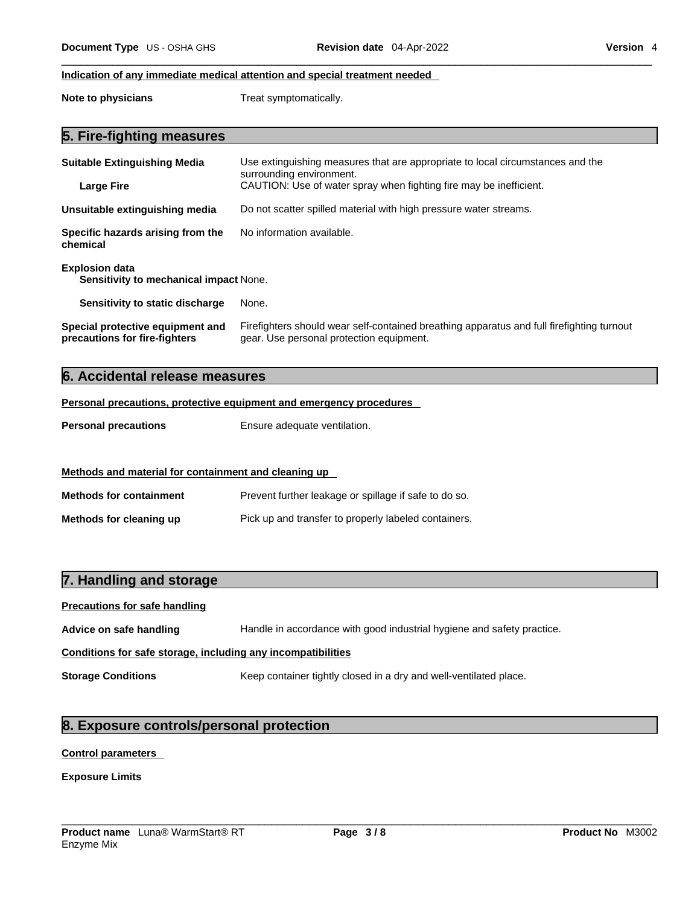### **Indication of any immediate medical attention and special treatment needed**

**Note to physicians** Treat symptomatically.

|  | 5. Fire-fighting measures |  |
|--|---------------------------|--|
|--|---------------------------|--|

| <b>Suitable Extinguishing Media</b><br><b>Large Fire</b>                   | Use extinguishing measures that are appropriate to local circumstances and the<br>surrounding environment.<br>CAUTION: Use of water spray when fighting fire may be inefficient. |  |
|----------------------------------------------------------------------------|----------------------------------------------------------------------------------------------------------------------------------------------------------------------------------|--|
| Unsuitable extinguishing media                                             | Do not scatter spilled material with high pressure water streams.                                                                                                                |  |
| No information available.<br>Specific hazards arising from the<br>chemical |                                                                                                                                                                                  |  |
| <b>Explosion data</b><br><b>Sensitivity to mechanical impact None.</b>     |                                                                                                                                                                                  |  |
| Sensitivity to static discharge                                            | None.                                                                                                                                                                            |  |
| Special protective equipment and<br>precautions for fire-fighters          | Firefighters should wear self-contained breathing apparatus and full firefighting turnout<br>gear. Use personal protection equipment.                                            |  |

## **6. Accidental release measures**

### **Personal precautions, protective equipment and emergency procedures**

| <b>Personal precautions</b> | Ensure adequate ventilation. |
|-----------------------------|------------------------------|
|-----------------------------|------------------------------|

| Methods and material for containment and cleaning up |                                                       |  |
|------------------------------------------------------|-------------------------------------------------------|--|
| <b>Methods for containment</b>                       | Prevent further leakage or spillage if safe to do so. |  |
| Methods for cleaning up                              | Pick up and transfer to properly labeled containers.  |  |

### **7. Handling and storage**

| <b>Precautions for safe handling</b>                         |                                                                        |  |
|--------------------------------------------------------------|------------------------------------------------------------------------|--|
| Advice on safe handling                                      | Handle in accordance with good industrial hygiene and safety practice. |  |
| Conditions for safe storage, including any incompatibilities |                                                                        |  |
| <b>Storage Conditions</b>                                    | Keep container tightly closed in a dry and well-ventilated place.      |  |

# **8. Exposure controls/personal protection**

### **Control parameters**

**Exposure Limits**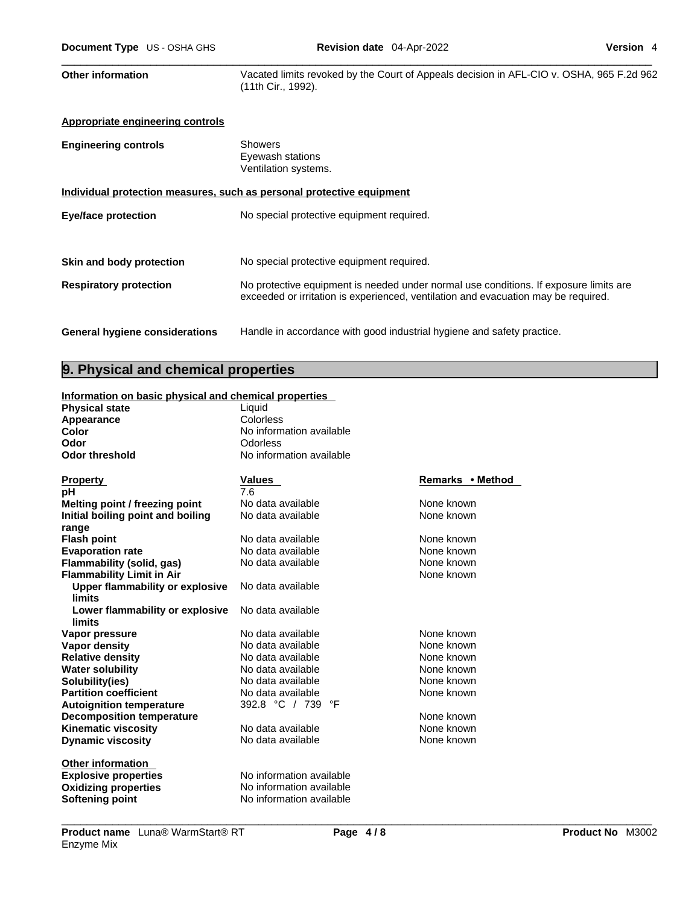Other information **Vacated limits revoked by the Court of Appeals decision in AFL-CIO v. OSHA, 965 F.2d 962** (11th Cir., 1992).

| Appropriate engineering controls                                      |                                                                                                                                                                             |  |
|-----------------------------------------------------------------------|-----------------------------------------------------------------------------------------------------------------------------------------------------------------------------|--|
| <b>Engineering controls</b>                                           | <b>Showers</b><br>Eyewash stations<br>Ventilation systems.                                                                                                                  |  |
| Individual protection measures, such as personal protective equipment |                                                                                                                                                                             |  |
| <b>Eye/face protection</b>                                            | No special protective equipment required.                                                                                                                                   |  |
|                                                                       |                                                                                                                                                                             |  |
| Skin and body protection                                              | No special protective equipment required.                                                                                                                                   |  |
| <b>Respiratory protection</b>                                         | No protective equipment is needed under normal use conditions. If exposure limits are<br>exceeded or irritation is experienced, ventilation and evacuation may be required. |  |
| <b>General hygiene considerations</b>                                 | Handle in accordance with good industrial hygiene and safety practice.                                                                                                      |  |

### **9. Physical and chemical properties**

### **Information on basic physical and chemical properties**

| <b>Physical state</b>                  | Liquid                   |                  |
|----------------------------------------|--------------------------|------------------|
| Appearance                             | Colorless                |                  |
| Color                                  | No information available |                  |
| Odor                                   | Odorless                 |                  |
| <b>Odor threshold</b>                  | No information available |                  |
| <b>Property</b>                        | <b>Values</b>            | Remarks • Method |
| рH                                     | 7.6                      |                  |
| Melting point / freezing point         | No data available        | None known       |
| Initial boiling point and boiling      | No data available        | None known       |
| range                                  |                          |                  |
| <b>Flash point</b>                     | No data available        | None known       |
| <b>Evaporation rate</b>                | No data available        | None known       |
| Flammability (solid, gas)              | No data available        | None known       |
| <b>Flammability Limit in Air</b>       |                          | None known       |
| <b>Upper flammability or explosive</b> | No data available        |                  |
| limits                                 |                          |                  |
| Lower flammability or explosive        | No data available        |                  |
| limits                                 |                          |                  |
| Vapor pressure                         | No data available        | None known       |
| Vapor density                          | No data available        | None known       |
| <b>Relative density</b>                | No data available        | None known       |
| <b>Water solubility</b>                | No data available        | None known       |
| Solubility(ies)                        | No data available        | None known       |
| <b>Partition coefficient</b>           | No data available        | None known       |
| <b>Autoignition temperature</b>        | 392.8 °C / 739 °F        |                  |
| <b>Decomposition temperature</b>       |                          | None known       |
| <b>Kinematic viscosity</b>             | No data available        | None known       |
| <b>Dynamic viscosity</b>               | No data available        | None known       |
| <b>Other information</b>               |                          |                  |
| <b>Explosive properties</b>            | No information available |                  |
| <b>Oxidizing properties</b>            | No information available |                  |
| Softening point                        | No information available |                  |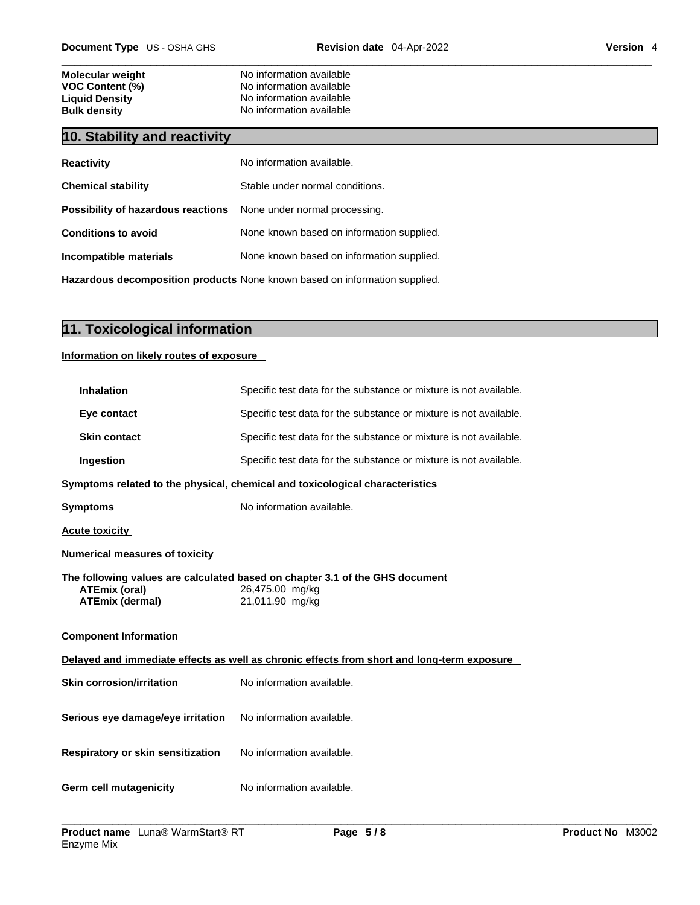| <b>Molecular weight</b> | No information available |
|-------------------------|--------------------------|
| <b>VOC Content (%)</b>  | No information available |
| <b>Liquid Density</b>   | No information available |
| <b>Bulk density</b>     | No information available |

# **10. Stability and reactivity**

| <b>Reactivity</b>                                                          | No information available.                 |  |
|----------------------------------------------------------------------------|-------------------------------------------|--|
| <b>Chemical stability</b>                                                  | Stable under normal conditions.           |  |
| Possibility of hazardous reactions                                         | None under normal processing.             |  |
| <b>Conditions to avoid</b>                                                 | None known based on information supplied. |  |
| Incompatible materials                                                     | None known based on information supplied. |  |
| Hazardous decomposition products None known based on information supplied. |                                           |  |

# **11. Toxicological information**

**Information on likely routes of exposure**

| <b>Inhalation</b>                              | Specific test data for the substance or mixture is not available.                                                  |
|------------------------------------------------|--------------------------------------------------------------------------------------------------------------------|
| Eye contact                                    | Specific test data for the substance or mixture is not available.                                                  |
| <b>Skin contact</b>                            | Specific test data for the substance or mixture is not available.                                                  |
| Ingestion                                      | Specific test data for the substance or mixture is not available.                                                  |
|                                                | Symptoms related to the physical, chemical and toxicological characteristics                                       |
| <b>Symptoms</b>                                | No information available.                                                                                          |
| <b>Acute toxicity</b>                          |                                                                                                                    |
| <b>Numerical measures of toxicity</b>          |                                                                                                                    |
| <b>ATEmix (oral)</b><br><b>ATEmix (dermal)</b> | The following values are calculated based on chapter 3.1 of the GHS document<br>26,475.00 mg/kg<br>21,011.90 mg/kg |
| <b>Component Information</b>                   |                                                                                                                    |
|                                                | Delayed and immediate effects as well as chronic effects from short and long-term exposure                         |
| <b>Skin corrosion/irritation</b>               | No information available.                                                                                          |
| Serious eye damage/eye irritation              | No information available.                                                                                          |
| <b>Respiratory or skin sensitization</b>       | No information available.                                                                                          |
| Germ cell mutagenicity                         | No information available.                                                                                          |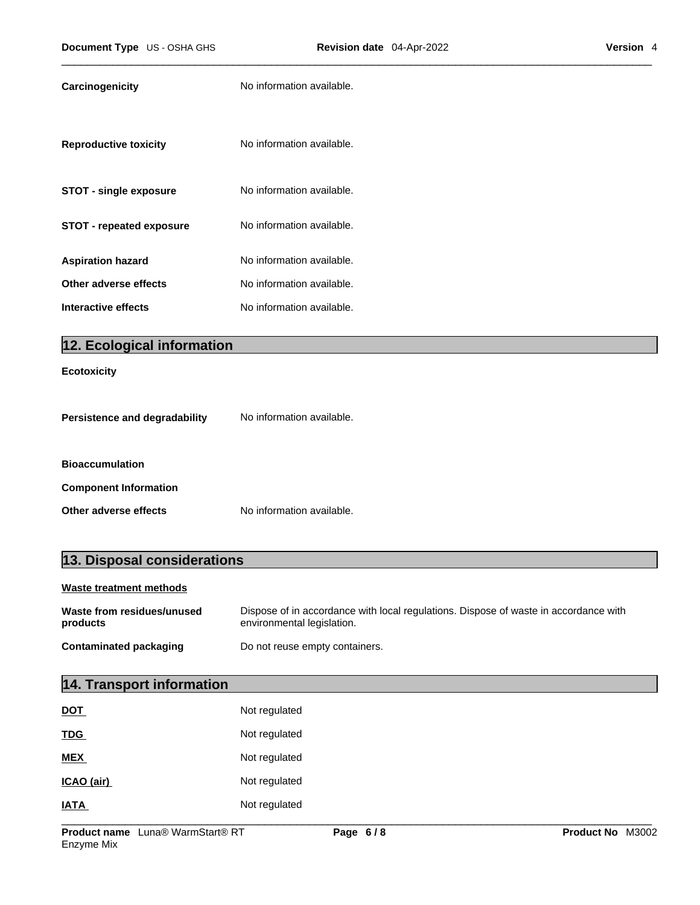| No information available. |
|---------------------------|
| No information available. |
| No information available. |
| No information available. |
| No information available. |
| No information available. |
| No information available. |
|                           |

# **12. Ecological information**

### **Ecotoxicity**

| Persistence and degradability | No information available. |  |
|-------------------------------|---------------------------|--|
|                               |                           |  |
| <b>Bioaccumulation</b>        |                           |  |
| <b>Component Information</b>  |                           |  |
| Other adverse effects         | No information available. |  |

# **13. Disposal considerations Waste treatment methods**

| Waste from residues/unused | Dispose of in accordance with local regulations. Dispose of waste in accordance with |
|----------------------------|--------------------------------------------------------------------------------------|
| products                   | environmental legislation.                                                           |
| Contaminated packaging     | Do not reuse empty containers.                                                       |

# **14. Transport information**

| <b>DOT</b>  | Not regulated |
|-------------|---------------|
| <b>TDG</b>  | Not regulated |
| <b>MEX</b>  | Not regulated |
| ICAO (air)  | Not regulated |
| <b>IATA</b> | Not regulated |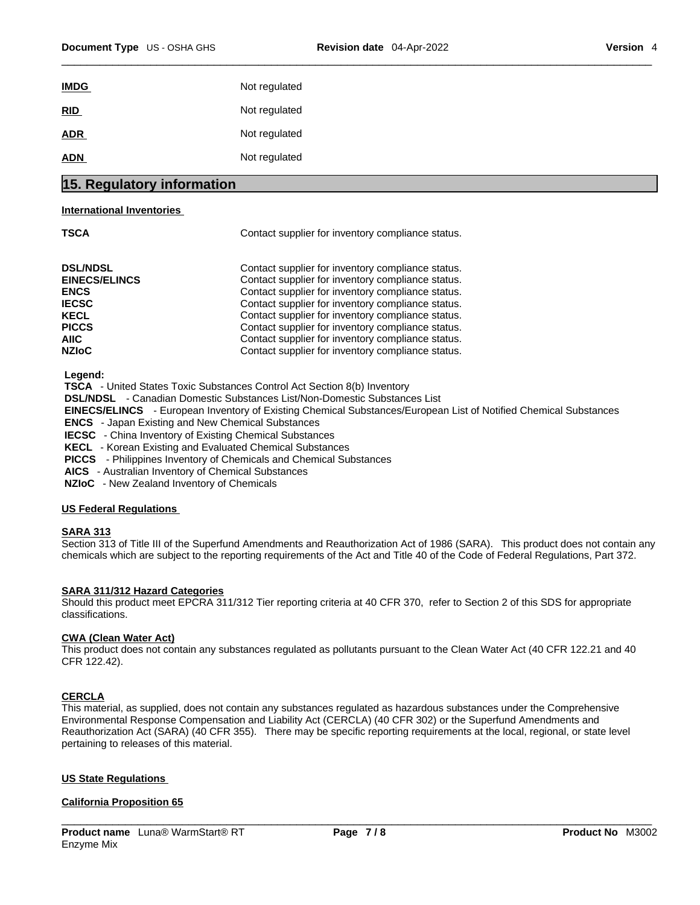| 15 Degulatory information |               |
|---------------------------|---------------|
| <b>ADN</b>                | Not regulated |
| <b>ADR</b>                | Not regulated |
| RID                       | Not regulated |
| <b>IMDG</b>               | Not regulated |
|                           |               |

# **15. Regulatory information**

#### **International Inventories**

| ۰.<br>I<br>I<br>×<br>M.<br>۰.<br>۰. |
|-------------------------------------|
|-------------------------------------|

Contact supplier for inventory compliance status.

| <b>DSL/NDSL</b>      | Contact supplier for inventory compliance status. |
|----------------------|---------------------------------------------------|
| <b>EINECS/ELINCS</b> | Contact supplier for inventory compliance status. |
| <b>ENCS</b>          | Contact supplier for inventory compliance status. |
| <b>IECSC</b>         | Contact supplier for inventory compliance status. |
| <b>KECL</b>          | Contact supplier for inventory compliance status. |
| <b>PICCS</b>         | Contact supplier for inventory compliance status. |
| AIIC.                | Contact supplier for inventory compliance status. |
| <b>NZIoC</b>         | Contact supplier for inventory compliance status. |

 **Legend:** 

 **TSCA** - United States Toxic Substances Control Act Section 8(b) Inventory

 **DSL/NDSL** - Canadian Domestic Substances List/Non-Domestic Substances List

 **EINECS/ELINCS** - European Inventory of Existing Chemical Substances/European List of Notified Chemical Substances

 **ENCS** - Japan Existing and New Chemical Substances

 **IECSC** - China Inventory of Existing Chemical Substances

 **KECL** - Korean Existing and Evaluated Chemical Substances

 **PICCS** - Philippines Inventory of Chemicals and Chemical Substances

 **AICS** - Australian Inventory of Chemical Substances

 **NZIoC** - New Zealand Inventory of Chemicals

#### **US Federal Regulations**

#### **SARA 313**

Section 313 of Title III of the Superfund Amendments and Reauthorization Act of 1986 (SARA). This product does not contain any chemicals which are subject to the reporting requirements of the Act and Title 40 of the Code of Federal Regulations, Part 372.

#### **SARA 311/312 Hazard Categories**

Should this product meet EPCRA 311/312 Tier reporting criteria at 40 CFR 370, refer to Section 2 of this SDS for appropriate classifications.

#### **CWA** (Clean Water Act)

This product does not contain any substances regulated as pollutants pursuant to the Clean Water Act (40 CFR 122.21 and 40 CFR 122.42).

#### **CERCLA**

This material, as supplied, does not contain any substances regulated as hazardous substances under the Comprehensive Environmental Response Compensation and Liability Act (CERCLA) (40 CFR 302) or the Superfund Amendments and Reauthorization Act (SARA) (40 CFR 355). There may be specific reporting requirements at the local, regional, or state level pertaining to releases of this material.

### **US State Regulations**

#### **California Proposition 65**